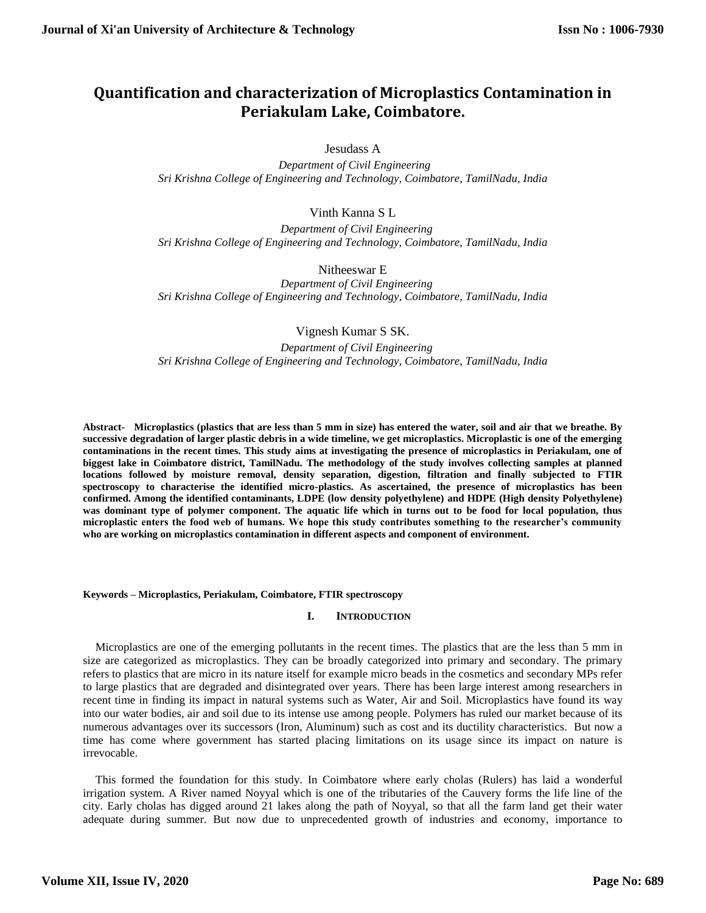## **Quantification and characterization of Microplastics Contamination in Periakulam Lake, Coimbatore.**

Jesudass A

 *Department of Civil Engineering Sri Krishna College of Engineering and Technology, Coimbatore, TamilNadu, India*

Vinth Kanna S L

 *Department of Civil Engineering Sri Krishna College of Engineering and Technology, Coimbatore, TamilNadu, India*

Nitheeswar E

 *Department of Civil Engineering Sri Krishna College of Engineering and Technology, Coimbatore, TamilNadu, India*

Vignesh Kumar S SK.

 *Department of Civil Engineering Sri Krishna College of Engineering and Technology, Coimbatore, TamilNadu, India*

**Abstract- Microplastics (plastics that are less than 5 mm in size) has entered the water, soil and air that we breathe. By successive degradation of larger plastic debris in a wide timeline, we get microplastics. Microplastic is one of the emerging contaminations in the recent times. This study aims at investigating the presence of microplastics in Periakulam, one of biggest lake in Coimbatore district, TamilNadu. The methodology of the study involves collecting samples at planned locations followed by moisture removal, density separation, digestion, filtration and finally subjected to FTIR spectroscopy to characterise the identified micro-plastics. As ascertained, the presence of microplastics has been confirmed. Among the identified contaminants, LDPE (low density polyethylene) and HDPE (High density Polyethylene) was dominant type of polymer component. The aquatic life which in turns out to be food for local population, thus microplastic enters the food web of humans. We hope this study contributes something to the researcher's community who are working on microplastics contamination in different aspects and component of environment.** 

#### **Keywords – Microplastics, Periakulam, Coimbatore, FTIR spectroscopy**

#### **I. INTRODUCTION**

Microplastics are one of the emerging pollutants in the recent times. The plastics that are the less than 5 mm in size are categorized as microplastics. They can be broadly categorized into primary and secondary. The primary refers to plastics that are micro in its nature itself for example micro beads in the cosmetics and secondary MPs refer to large plastics that are degraded and disintegrated over years. There has been large interest among researchers in recent time in finding its impact in natural systems such as Water, Air and Soil. Microplastics have found its way into our water bodies, air and soil due to its intense use among people. Polymers has ruled our market because of its numerous advantages over its successors (Iron, Aluminum) such as cost and its ductility characteristics. But now a time has come where government has started placing limitations on its usage since its impact on nature is irrevocable.

This formed the foundation for this study. In Coimbatore where early cholas (Rulers) has laid a wonderful irrigation system. A River named Noyyal which is one of the tributaries of the Cauvery forms the life line of the city. Early cholas has digged around 21 lakes along the path of Noyyal, so that all the farm land get their water adequate during summer. But now due to unprecedented growth of industries and economy, importance to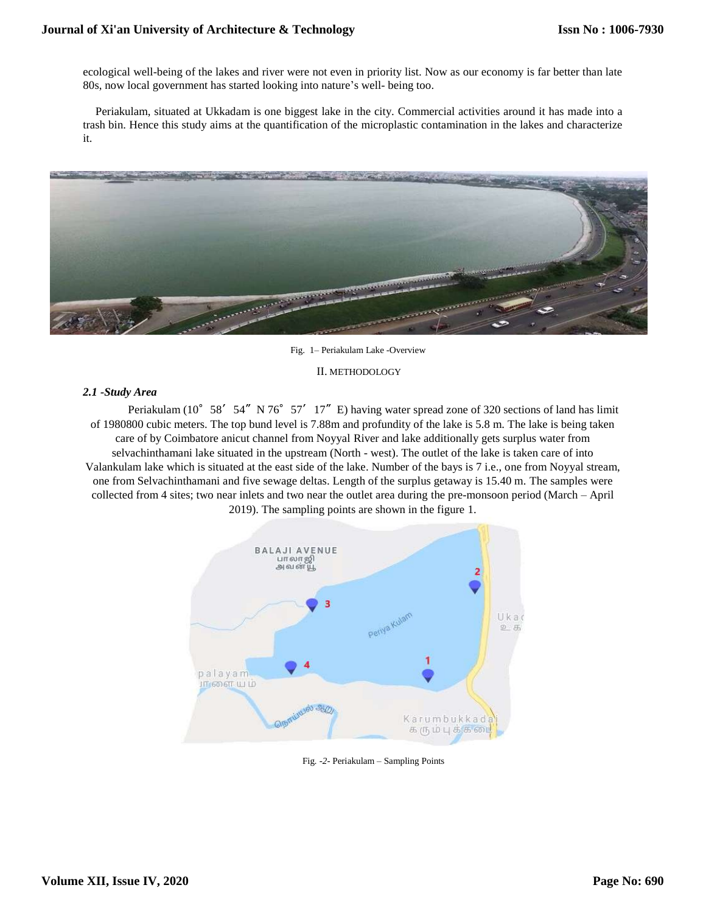ecological well-being of the lakes and river were not even in priority list. Now as our economy is far better than late 80s, now local government has started looking into nature's well- being too.

Periakulam, situated at Ukkadam is one biggest lake in the city. Commercial activities around it has made into a trash bin. Hence this study aims at the quantification of the microplastic contamination in the lakes and characterize it.



Fig. 1– Periakulam Lake -Overview

### II. METHODOLOGY

### *2.1 -Study Area*

Periakulam (10°58′54″N 76°57′17″E) having water spread zone of 320 sections of land has limit of 1980800 cubic meters. The top bund level is 7.88m and profundity of the lake is 5.8 m. The lake is being taken care of by Coimbatore anicut channel from Noyyal River and lake additionally gets surplus water from selvachinthamani lake situated in the upstream (North - west). The outlet of the lake is taken care of into Valankulam lake which is situated at the east side of the lake. Number of the bays is 7 i.e., one from Noyyal stream, one from Selvachinthamani and five sewage deltas. Length of the surplus getaway is 15.40 m. The samples were collected from 4 sites; two near inlets and two near the outlet area during the pre-monsoon period (March – April 2019). The sampling points are shown in the figure 1.



Fig*.* -*2-* Periakulam – Sampling Points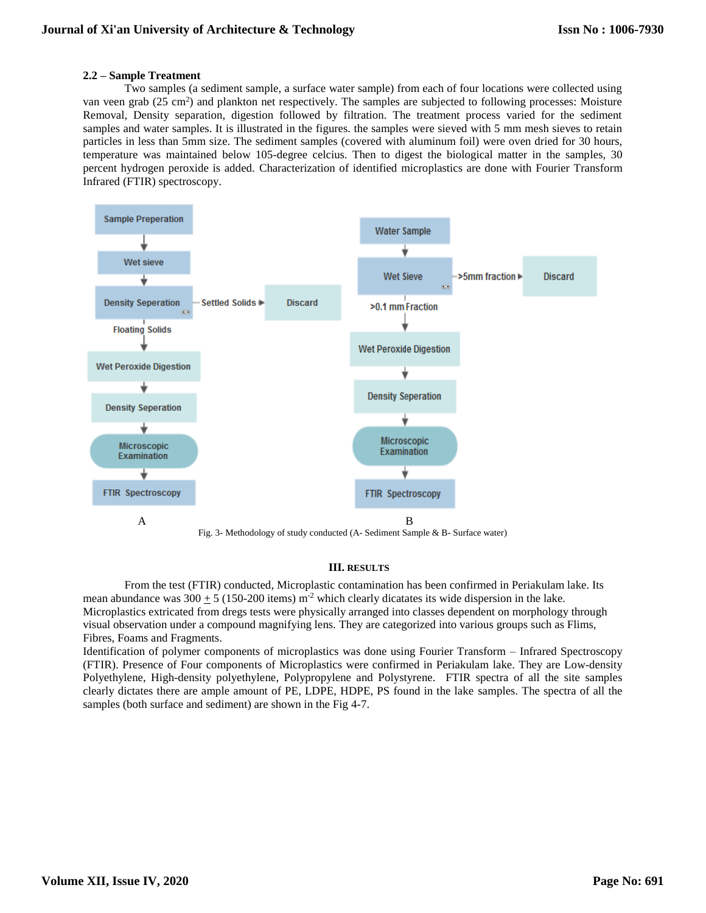### **2.2 – Sample Treatment**

Two samples (a sediment sample, a surface water sample) from each of four locations were collected using van veen grab ( $25 \text{ cm}^2$ ) and plankton net respectively. The samples are subjected to following processes: Moisture Removal, Density separation, digestion followed by filtration. The treatment process varied for the sediment samples and water samples. It is illustrated in the figures. the samples were sieved with 5 mm mesh sieves to retain particles in less than 5mm size. The sediment samples (covered with aluminum foil) were oven dried for 30 hours, temperature was maintained below 105-degree celcius. Then to digest the biological matter in the samples, 30 percent hydrogen peroxide is added. Characterization of identified microplastics are done with Fourier Transform Infrared (FTIR) spectroscopy.



# **III. RESULTS**

From the test (FTIR) conducted, Microplastic contamination has been confirmed in Periakulam lake. Its mean abundance was  $300 \pm 5$  (150-200 items) m<sup>-2</sup> which clearly dicatates its wide dispersion in the lake. Microplastics extricated from dregs tests were physically arranged into classes dependent on morphology through visual observation under a compound magnifying lens. They are categorized into various groups such as Flims, Fibres, Foams and Fragments.

Identification of polymer components of microplastics was done using Fourier Transform – Infrared Spectroscopy (FTIR). Presence of Four components of Microplastics were confirmed in Periakulam lake. They are Low-density Polyethylene, High-density polyethylene, Polypropylene and Polystyrene. FTIR spectra of all the site samples clearly dictates there are ample amount of PE, LDPE, HDPE, PS found in the lake samples. The spectra of all the samples (both surface and sediment) are shown in the Fig 4-7.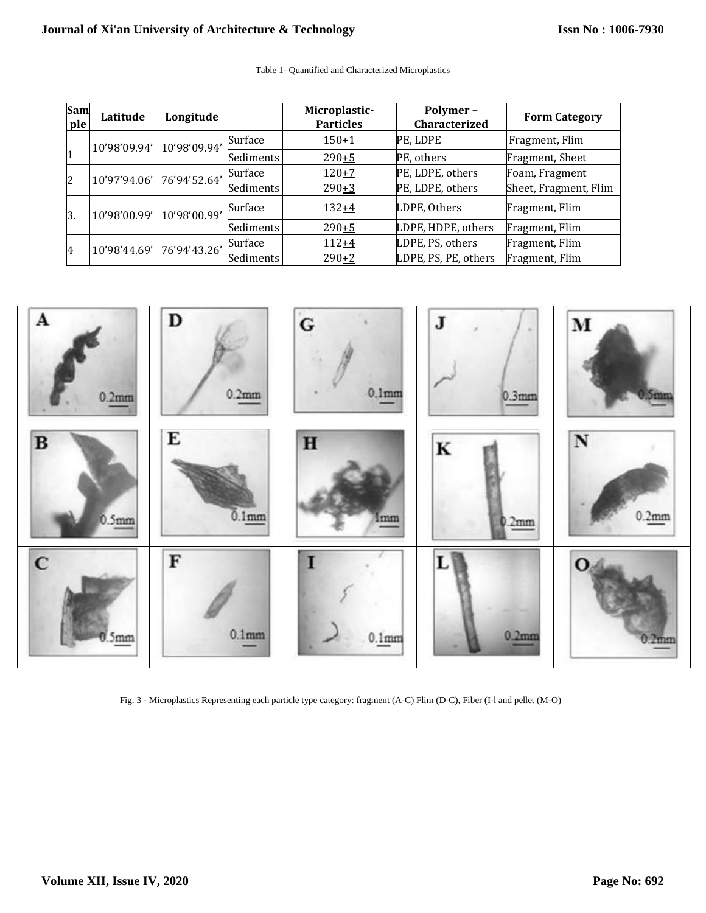| <b>Sam</b><br>ple | Latitude     | Longitude    |           | Microplastic-<br><b>Particles</b> | Polymer-<br>Characterized | <b>Form Category</b>  |
|-------------------|--------------|--------------|-----------|-----------------------------------|---------------------------|-----------------------|
| 1                 | 10'98'09.94' | 10'98'09.94' | Surface   | $150+1$                           | PE, LDPE                  | Fragment, Flim        |
|                   |              |              | Sediments | $290 + 5$                         | PE, others                | Fragment, Sheet       |
| 2                 | 10'97'94.06' | 76'94'52.64' | Surface   | $120 + 7$                         | PE, LDPE, others          | Foam, Fragment        |
|                   |              |              | Sediments | $290+3$                           | PE, LDPE, others          | Sheet, Fragment, Flim |
| 3.                | 10'98'00.99' | 10'98'00.99' | Surface   | $132+4$                           | LDPE, Others              | Fragment, Flim        |
|                   |              |              | Sediments | $290 + 5$                         | LDPE, HDPE, others        | Fragment, Flim        |
| 4                 | 10'98'44.69' | 76'94'43.26' | Surface   | $112 + 4$                         | LDPE, PS, others          | Fragment, Flim        |
|                   |              |              | Sediments | $290+2$                           | LDPE, PS, PE, others      | Fragment, Flim        |



Fig. 3 - Microplastics Representing each particle type category: fragment (A-C) Flim (D-C), Fiber (I-l and pellet (M-O)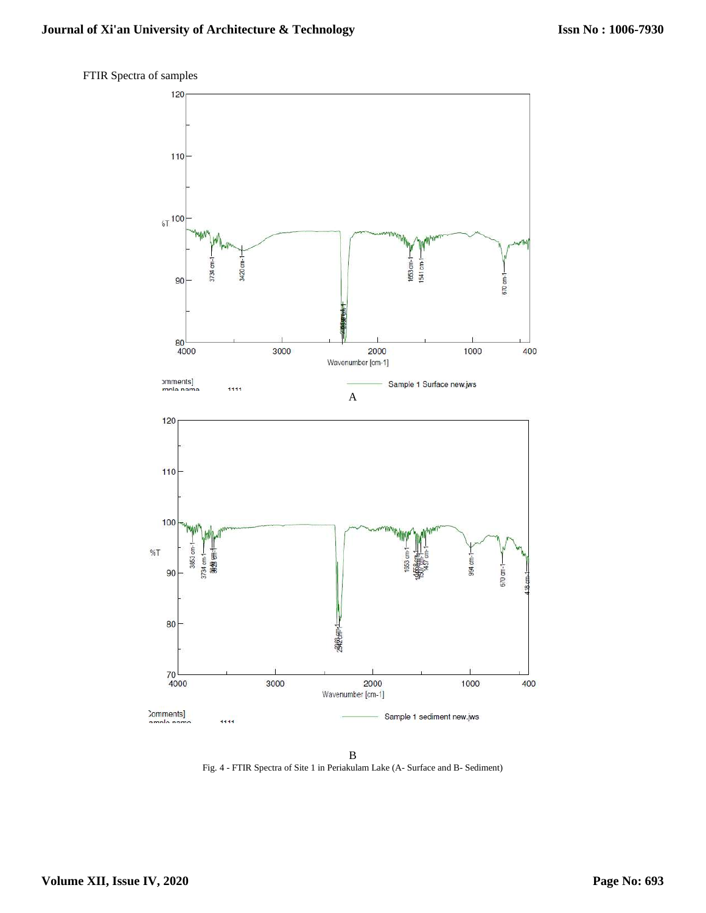

FTIR Spectra of samples

B Fig. 4 - FTIR Spectra of Site 1 in Periakulam Lake (A- Surface and B- Sediment)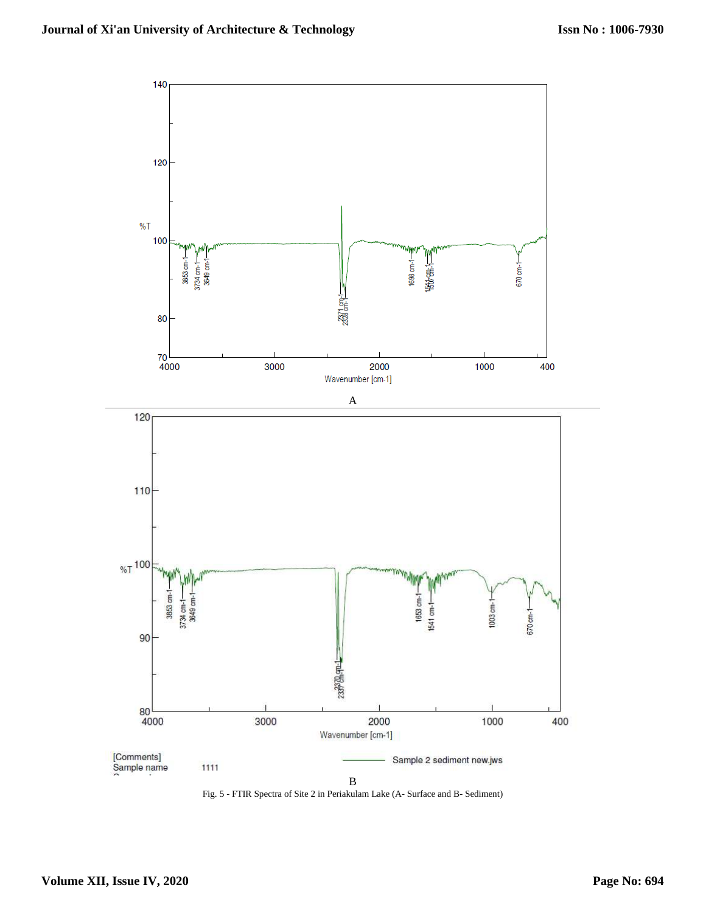

Fig. 5 - FTIR Spectra of Site 2 in Periakulam Lake (A- Surface and B- Sediment)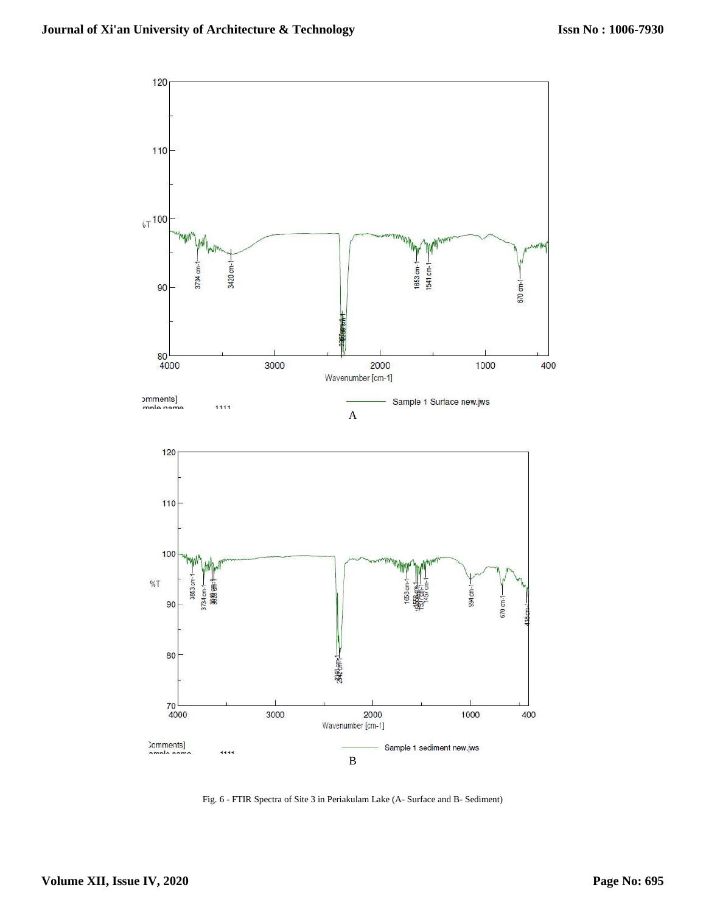

Fig. 6 - FTIR Spectra of Site 3 in Periakulam Lake (A- Surface and B- Sediment)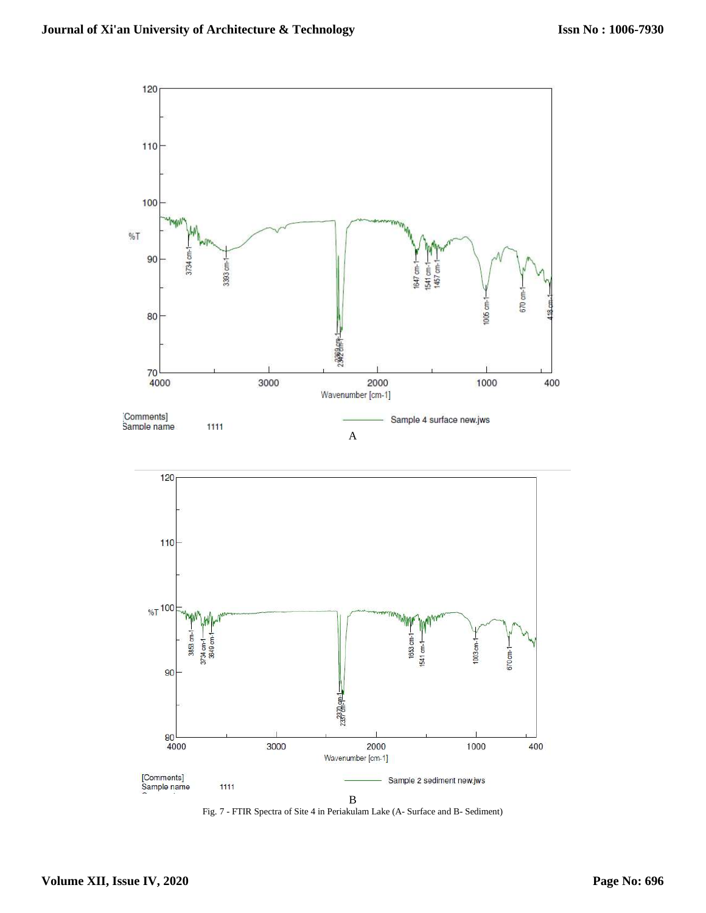

Fig. 7 - FTIR Spectra of Site 4 in Periakulam Lake (A- Surface and B- Sediment)